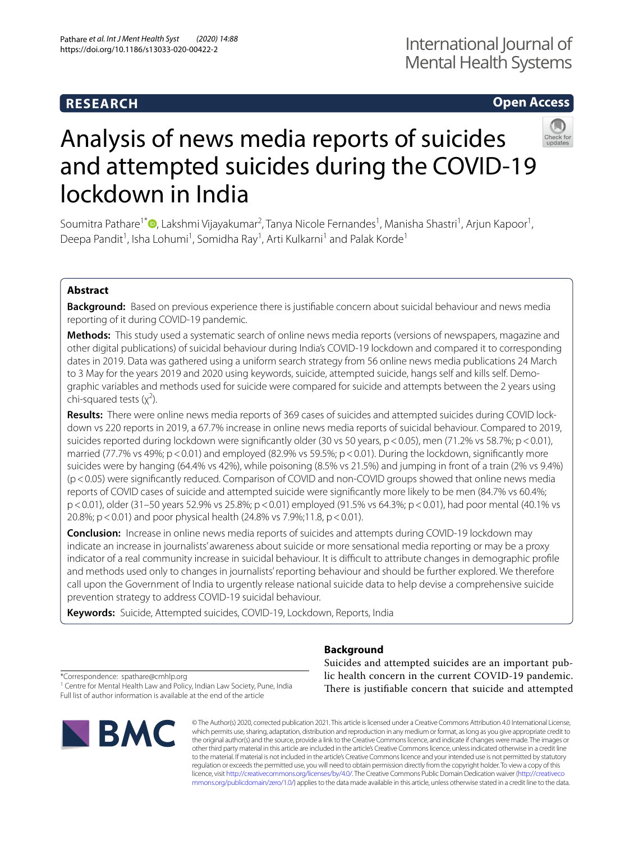## **RESEARCH**

## **Open Access**



# Analysis of news media reports of suicides and attempted suicides during the COVID-19 lockdown in India

Soumitra Pathare<sup>1\*</sup> (**D**[,](http://orcid.org/0000-0001-9311-9024) Lakshmi Vijayakumar<sup>2</sup>, Tanya Nicole Fernandes<sup>1</sup>, Manisha Shastri<sup>1</sup>, Arjun Kapoor<sup>1</sup>, Deepa Pandit<sup>1</sup>, Isha Lohumi<sup>1</sup>, Somidha Ray<sup>1</sup>, Arti Kulkarni<sup>1</sup> and Palak Korde<sup>1</sup>

## **Abstract**

**Background:** Based on previous experience there is justifable concern about suicidal behaviour and news media reporting of it during COVID-19 pandemic.

**Methods:** This study used a systematic search of online news media reports (versions of newspapers, magazine and other digital publications) of suicidal behaviour during India's COVID-19 lockdown and compared it to corresponding dates in 2019. Data was gathered using a uniform search strategy from 56 online news media publications 24 March to 3 May for the years 2019 and 2020 using keywords, suicide, attempted suicide, hangs self and kills self. Demographic variables and methods used for suicide were compared for suicide and attempts between the 2 years using chi-squared tests  $(x^2)$ .

**Results:** There were online news media reports of 369 cases of suicides and attempted suicides during COVID lockdown vs 220 reports in 2019, a 67.7% increase in online news media reports of suicidal behaviour. Compared to 2019, suicides reported during lockdown were significantly older (30 vs 50 years, p < 0.05), men (71.2% vs 58.7%; p < 0.01), married (77.7% vs 49%; p < 0.01) and employed (82.9% vs 59.5%; p < 0.01). During the lockdown, significantly more suicides were by hanging (64.4% vs 42%), while poisoning (8.5% vs 21.5%) and jumping in front of a train (2% vs 9.4%) (p<0.05) were signifcantly reduced. Comparison of COVID and non-COVID groups showed that online news media reports of COVID cases of suicide and attempted suicide were signifcantly more likely to be men (84.7% vs 60.4%; p<0.01), older (31–50 years 52.9% vs 25.8%; p<0.01) employed (91.5% vs 64.3%; p<0.01), had poor mental (40.1% vs 20.8%; p < 0.01) and poor physical health (24.8% vs 7.9%;11.8, p < 0.01).

**Conclusion:** Increase in online news media reports of suicides and attempts during COVID-19 lockdown may indicate an increase in journalists' awareness about suicide or more sensational media reporting or may be a proxy indicator of a real community increase in suicidal behaviour. It is difficult to attribute changes in demographic profile and methods used only to changes in journalists' reporting behaviour and should be further explored. We therefore call upon the Government of India to urgently release national suicide data to help devise a comprehensive suicide prevention strategy to address COVID-19 suicidal behaviour.

**Keywords:** Suicide, Attempted suicides, COVID-19, Lockdown, Reports, India

## **Background**

\*Correspondence: spathare@cmhlp.org

<sup>1</sup> Centre for Mental Health Law and Policy, Indian Law Society, Pune, India Full list of author information is available at the end of the article



Suicides and attempted suicides are an important public health concern in the current COVID-19 pandemic. There is justifiable concern that suicide and attempted

© The Author(s) 2020, corrected publication 2021. This article is licensed under a Creative Commons Attribution 4.0 International License, which permits use, sharing, adaptation, distribution and reproduction in any medium or format, as long as you give appropriate credit to the original author(s) and the source, provide a link to the Creative Commons licence, and indicate if changes were made. The images or other third party material in this article are included in the article's Creative Commons licence, unless indicated otherwise in a credit line to the material. If material is not included in the article's Creative Commons licence and your intended use is not permitted by statutory regulation or exceeds the permitted use, you will need to obtain permission directly from the copyright holder. To view a copy of this licence, visit [http://creativecommons.org/licenses/by/4.0/.](http://creativecommons.org/licenses/by/4.0/) The Creative Commons Public Domain Dedication waiver ([http://creativeco](http://creativecommons.org/publicdomain/zero/1.0/) [mmons.org/publicdomain/zero/1.0/](http://creativecommons.org/publicdomain/zero/1.0/)) applies to the data made available in this article, unless otherwise stated in a credit line to the data.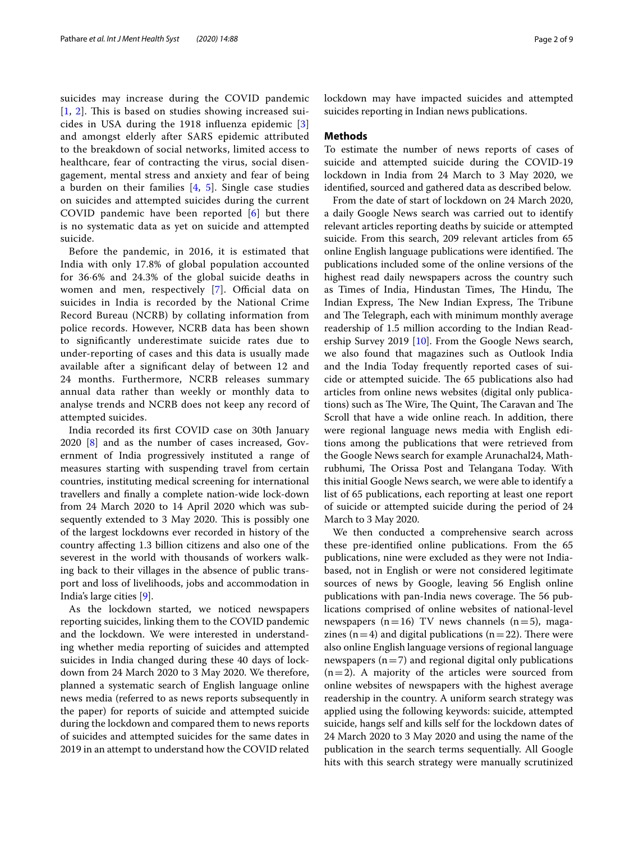suicides may increase during the COVID pandemic  $[1, 2]$  $[1, 2]$  $[1, 2]$  $[1, 2]$  $[1, 2]$ . This is based on studies showing increased suicides in USA during the 1918 infuenza epidemic [\[3](#page-8-2)] and amongst elderly after SARS epidemic attributed to the breakdown of social networks, limited access to healthcare, fear of contracting the virus, social disengagement, mental stress and anxiety and fear of being a burden on their families [\[4](#page-8-3), [5](#page-8-4)]. Single case studies on suicides and attempted suicides during the current COVID pandemic have been reported [[6](#page-8-5)] but there is no systematic data as yet on suicide and attempted suicide.

Before the pandemic, in 2016, it is estimated that India with only 17.8% of global population accounted for 36·6% and 24.3% of the global suicide deaths in women and men, respectively [[7\]](#page-8-6). Official data on suicides in India is recorded by the National Crime Record Bureau (NCRB) by collating information from police records. However, NCRB data has been shown to signifcantly underestimate suicide rates due to under-reporting of cases and this data is usually made available after a signifcant delay of between 12 and 24 months. Furthermore, NCRB releases summary annual data rather than weekly or monthly data to analyse trends and NCRB does not keep any record of attempted suicides.

India recorded its frst COVID case on 30th January 2020 [\[8](#page-8-7)] and as the number of cases increased, Government of India progressively instituted a range of measures starting with suspending travel from certain countries, instituting medical screening for international travellers and fnally a complete nation-wide lock-down from 24 March 2020 to 14 April 2020 which was subsequently extended to 3 May 2020. This is possibly one of the largest lockdowns ever recorded in history of the country afecting 1.3 billion citizens and also one of the severest in the world with thousands of workers walking back to their villages in the absence of public transport and loss of livelihoods, jobs and accommodation in India's large cities [[9\]](#page-8-8).

As the lockdown started, we noticed newspapers reporting suicides, linking them to the COVID pandemic and the lockdown. We were interested in understanding whether media reporting of suicides and attempted suicides in India changed during these 40 days of lockdown from 24 March 2020 to 3 May 2020. We therefore, planned a systematic search of English language online news media (referred to as news reports subsequently in the paper) for reports of suicide and attempted suicide during the lockdown and compared them to news reports of suicides and attempted suicides for the same dates in 2019 in an attempt to understand how the COVID related lockdown may have impacted suicides and attempted suicides reporting in Indian news publications.

#### **Methods**

To estimate the number of news reports of cases of suicide and attempted suicide during the COVID-19 lockdown in India from 24 March to 3 May 2020, we identifed, sourced and gathered data as described below.

From the date of start of lockdown on 24 March 2020, a daily Google News search was carried out to identify relevant articles reporting deaths by suicide or attempted suicide. From this search, 209 relevant articles from 65 online English language publications were identified. The publications included some of the online versions of the highest read daily newspapers across the country such as Times of India, Hindustan Times, The Hindu, The Indian Express, The New Indian Express, The Tribune and The Telegraph, each with minimum monthly average readership of 1.5 million according to the Indian Read-ership Survey 2019 [[10\]](#page-8-9). From the Google News search, we also found that magazines such as Outlook India and the India Today frequently reported cases of suicide or attempted suicide. The 65 publications also had articles from online news websites (digital only publications) such as The Wire, The Quint, The Caravan and The Scroll that have a wide online reach. In addition, there were regional language news media with English editions among the publications that were retrieved from the Google News search for example Arunachal24, Mathrubhumi, The Orissa Post and Telangana Today. With this initial Google News search, we were able to identify a list of 65 publications, each reporting at least one report of suicide or attempted suicide during the period of 24 March to 3 May 2020.

We then conducted a comprehensive search across these pre-identifed online publications. From the 65 publications, nine were excluded as they were not Indiabased, not in English or were not considered legitimate sources of news by Google, leaving 56 English online publications with pan-India news coverage. The 56 publications comprised of online websites of national-level newspapers  $(n=16)$  TV news channels  $(n=5)$ , magazines ( $n=4$ ) and digital publications ( $n=22$ ). There were also online English language versions of regional language newspapers ( $n=7$ ) and regional digital only publications  $(n=2)$ . A majority of the articles were sourced from online websites of newspapers with the highest average readership in the country. A uniform search strategy was applied using the following keywords: suicide, attempted suicide, hangs self and kills self for the lockdown dates of 24 March 2020 to 3 May 2020 and using the name of the publication in the search terms sequentially. All Google hits with this search strategy were manually scrutinized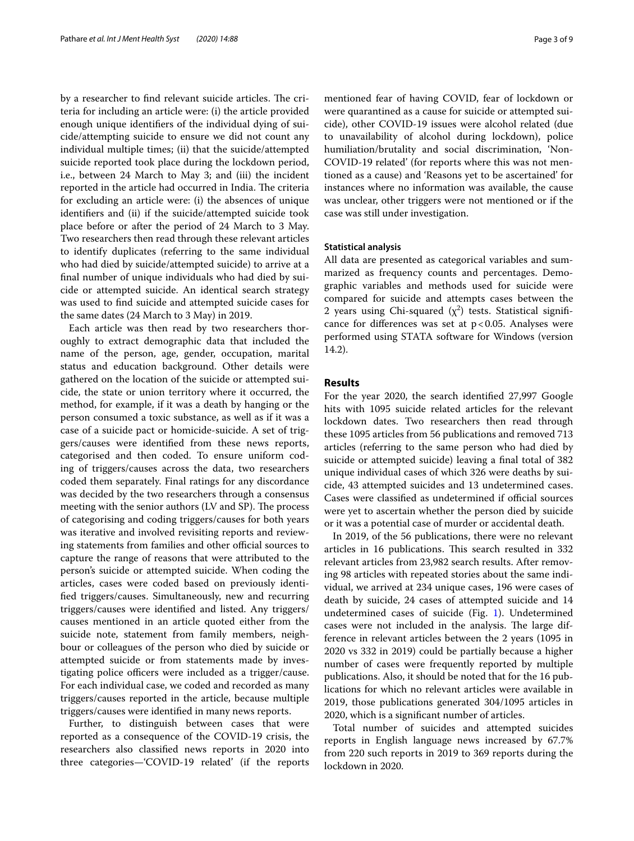by a researcher to find relevant suicide articles. The criteria for including an article were: (i) the article provided enough unique identifers of the individual dying of suicide/attempting suicide to ensure we did not count any individual multiple times; (ii) that the suicide/attempted suicide reported took place during the lockdown period, i.e., between 24 March to May 3; and (iii) the incident reported in the article had occurred in India. The criteria for excluding an article were: (i) the absences of unique identifers and (ii) if the suicide/attempted suicide took place before or after the period of 24 March to 3 May. Two researchers then read through these relevant articles to identify duplicates (referring to the same individual who had died by suicide/attempted suicide) to arrive at a fnal number of unique individuals who had died by suicide or attempted suicide. An identical search strategy was used to fnd suicide and attempted suicide cases for the same dates (24 March to 3 May) in 2019.

Each article was then read by two researchers thoroughly to extract demographic data that included the name of the person, age, gender, occupation, marital status and education background. Other details were gathered on the location of the suicide or attempted suicide, the state or union territory where it occurred, the method, for example, if it was a death by hanging or the person consumed a toxic substance, as well as if it was a case of a suicide pact or homicide-suicide. A set of triggers/causes were identifed from these news reports, categorised and then coded. To ensure uniform coding of triggers/causes across the data, two researchers coded them separately. Final ratings for any discordance was decided by the two researchers through a consensus meeting with the senior authors (LV and SP). The process of categorising and coding triggers/causes for both years was iterative and involved revisiting reports and reviewing statements from families and other official sources to capture the range of reasons that were attributed to the person's suicide or attempted suicide. When coding the articles, cases were coded based on previously identifed triggers/causes. Simultaneously, new and recurring triggers/causes were identifed and listed. Any triggers/ causes mentioned in an article quoted either from the suicide note, statement from family members, neighbour or colleagues of the person who died by suicide or attempted suicide or from statements made by investigating police officers were included as a trigger/cause. For each individual case, we coded and recorded as many triggers/causes reported in the article, because multiple triggers/causes were identifed in many news reports.

Further, to distinguish between cases that were reported as a consequence of the COVID-19 crisis, the researchers also classifed news reports in 2020 into three categories—'COVID-19 related' (if the reports mentioned fear of having COVID, fear of lockdown or were quarantined as a cause for suicide or attempted suicide), other COVID-19 issues were alcohol related (due to unavailability of alcohol during lockdown), police humiliation/brutality and social discrimination, 'Non-COVID-19 related' (for reports where this was not mentioned as a cause) and 'Reasons yet to be ascertained' for instances where no information was available, the cause was unclear, other triggers were not mentioned or if the case was still under investigation.

#### **Statistical analysis**

All data are presented as categorical variables and summarized as frequency counts and percentages. Demographic variables and methods used for suicide were compared for suicide and attempts cases between the 2 years using Chi-squared  $(\chi^2)$  tests. Statistical significance for differences was set at  $p < 0.05$ . Analyses were performed using STATA software for Windows (version 14.2).

#### **Results**

For the year 2020, the search identifed 27,997 Google hits with 1095 suicide related articles for the relevant lockdown dates. Two researchers then read through these 1095 articles from 56 publications and removed 713 articles (referring to the same person who had died by suicide or attempted suicide) leaving a final total of 382 unique individual cases of which 326 were deaths by suicide, 43 attempted suicides and 13 undetermined cases. Cases were classified as undetermined if official sources were yet to ascertain whether the person died by suicide or it was a potential case of murder or accidental death.

In 2019, of the 56 publications, there were no relevant articles in 16 publications. This search resulted in 332 relevant articles from 23,982 search results. After removing 98 articles with repeated stories about the same individual, we arrived at 234 unique cases, 196 were cases of death by suicide, 24 cases of attempted suicide and 14 undetermined cases of suicide (Fig. [1](#page-3-0)). Undetermined cases were not included in the analysis. The large difference in relevant articles between the 2 years (1095 in 2020 vs 332 in 2019) could be partially because a higher number of cases were frequently reported by multiple publications. Also, it should be noted that for the 16 publications for which no relevant articles were available in 2019, those publications generated 304/1095 articles in 2020, which is a signifcant number of articles.

Total number of suicides and attempted suicides reports in English language news increased by 67.7% from 220 such reports in 2019 to 369 reports during the lockdown in 2020.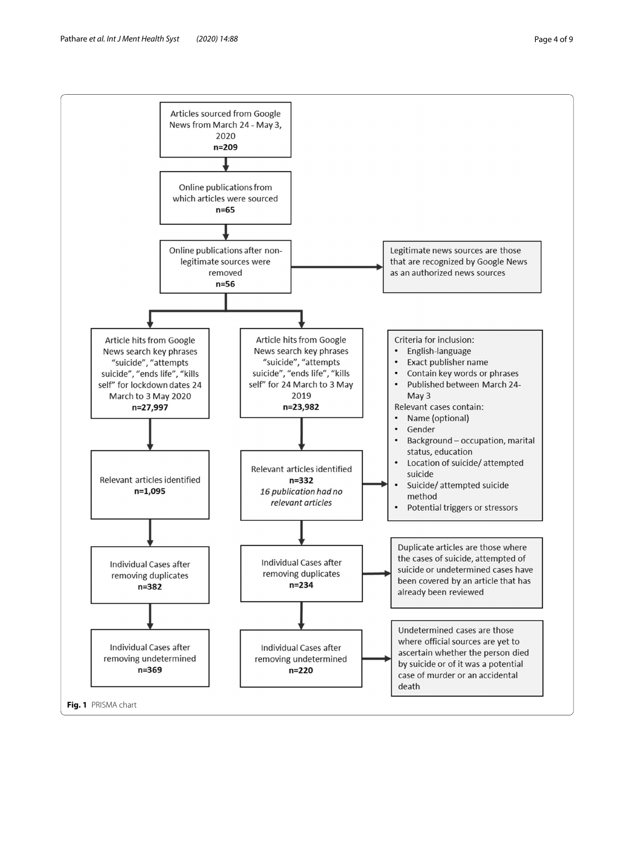

<span id="page-3-0"></span>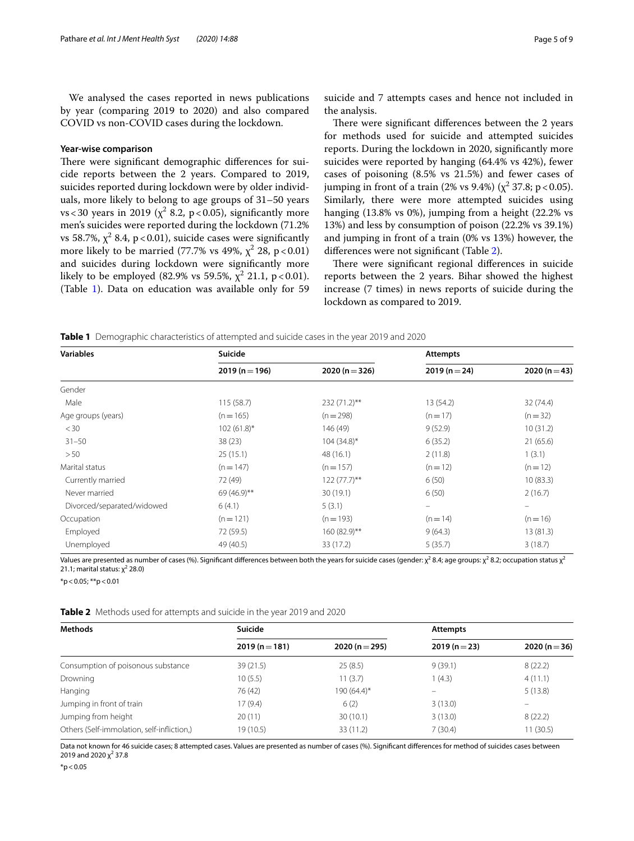We analysed the cases reported in news publications by year (comparing 2019 to 2020) and also compared COVID vs non-COVID cases during the lockdown.

#### **Year‑wise comparison**

There were significant demographic differences for suicide reports between the 2 years. Compared to 2019, suicides reported during lockdown were by older individuals, more likely to belong to age groups of 31–50 years  $vs < 30$  years in 2019 ( $\chi^2$  8.2, p < 0.05), significantly more men's suicides were reported during the lockdown (71.2% vs 58.7%,  $\chi^2$  8.4, p<0.01), suicide cases were significantly more likely to be married (77.7% vs 49%,  $\chi^2$  28, p<0.01) and suicides during lockdown were signifcantly more likely to be employed (82.9% vs 59.5%,  $\chi^2$  21.1, p<0.01). (Table [1](#page-4-0)). Data on education was available only for 59

suicide and 7 attempts cases and hence not included in the analysis.

There were significant differences between the 2 years for methods used for suicide and attempted suicides reports. During the lockdown in 2020, signifcantly more suicides were reported by hanging (64.4% vs 42%), fewer cases of poisoning (8.5% vs 21.5%) and fewer cases of jumping in front of a train (2% vs 9.4%) ( $\chi^2$  37.8; p < 0.05). Similarly, there were more attempted suicides using hanging (13.8% vs 0%), jumping from a height (22.2% vs 13%) and less by consumption of poison (22.2% vs 39.1%) and jumping in front of a train (0% vs 13%) however, the diferences were not signifcant (Table [2\)](#page-4-1).

There were significant regional differences in suicide reports between the 2 years. Bihar showed the highest increase (7 times) in news reports of suicide during the lockdown as compared to 2019.

<span id="page-4-0"></span>**Table 1** Demographic characteristics of attempted and suicide cases in the year 2019 and 2020

| <b>Variables</b>           | Suicide       |                | <b>Attempts</b>          |                   |
|----------------------------|---------------|----------------|--------------------------|-------------------|
|                            | $2019(n=196)$ | $2020(n=326)$  | $2019(n=24)$             | 2020 ( $n = 43$ ) |
| Gender                     |               |                |                          |                   |
| Male                       | 115(58.7)     | 232 (71.2)**   | 13 (54.2)                | 32(74.4)          |
| Age groups (years)         | $(n = 165)$   | $(n=298)$      | $(n=17)$                 | $(n=32)$          |
| $<$ 30                     | $102(61.8)$ * | 146 (49)       | 9(52.9)                  | 10(31.2)          |
| $31 - 50$                  | 38(23)        | $104(34.8)$ *  | 6(35.2)                  | 21(65.6)          |
| > 50                       | 25(15.1)      | 48 (16.1)      | 2(11.8)                  | 1(3.1)            |
| Marital status             | $(n = 147)$   | $(n=157)$      | $(n = 12)$               | $(n=12)$          |
| Currently married          | 72 (49)       | $122(77.7)$ ** | 6(50)                    | 10(83.3)          |
| Never married              | 69 (46.9)**   | 30(19.1)       | 6(50)                    | 2(16.7)           |
| Divorced/separated/widowed | 6(4.1)        | 5(3.1)         | $\overline{\phantom{m}}$ | -                 |
| Occupation                 | $(n=121)$     | $(n = 193)$    | $(n=14)$                 | $(n=16)$          |
| Employed                   | 72 (59.5)     | 160 (82.9)**   | 9(64.3)                  | 13(81.3)          |
| Unemployed                 | 49 (40.5)     | 33 (17.2)      | 5(35.7)                  | 3(18.7)           |

Values are presented as number of cases (%). Significant differences between both the years for suicide cases (gender:  $\chi^2$  8.4; age groups:  $\chi^2$  8.2; occupation status  $\chi^2$ 21.1; marital status:  $\chi^2$  28.0)

 $*p$  < 0.05;  $*p$  < 0.01

<span id="page-4-1"></span>**Table 2** Methods used for attempts and suicide in the year 2019 and 2020

| <b>Methods</b>                             | Suicide       |                | <b>Attempts</b>   |                   |
|--------------------------------------------|---------------|----------------|-------------------|-------------------|
|                                            | $2019(n=181)$ | 2020 (n = 295) | $2019(n=23)$      | 2020 ( $n = 36$ ) |
| Consumption of poisonous substance         | 39(21.5)      | 25(8.5)        | 9(39.1)           | 8(22.2)           |
| Drowning                                   | 10(5.5)       | 11(3.7)        | 1(4.3)            | 4(11.1)           |
| Hanging                                    | 76 (42)       | 190 (64.4)*    | $\qquad \qquad =$ | 5(13.8)           |
| Jumping in front of train                  | 17 (9.4)      | 6(2)           | 3(13.0)           |                   |
| Jumping from height                        | 20(11)        | 30(10.1)       | 3(13.0)           | 8(22.2)           |
| Others (Self-immolation, self-infliction,) | 19 (10.5)     | 33 (11.2)      | 7(30.4)           | 11(30.5)          |

Data not known for 46 suicide cases; 8 attempted cases. Values are presented as number of cases (%). Signifcant diferences for method of suicides cases between 2019 and 2020 χ<sup>2</sup> 37.8

 $*p < 0.05$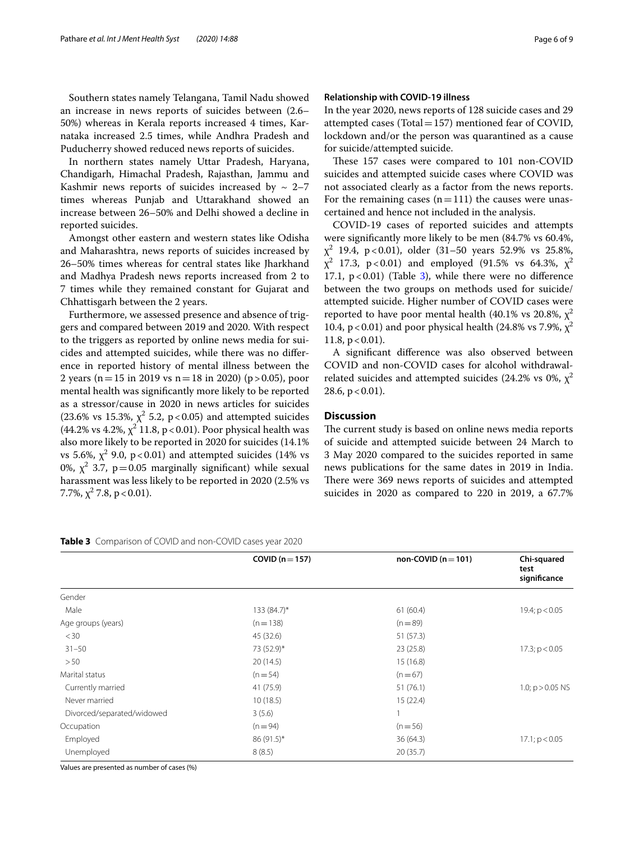Southern states namely Telangana, Tamil Nadu showed an increase in news reports of suicides between (2.6– 50%) whereas in Kerala reports increased 4 times, Karnataka increased 2.5 times, while Andhra Pradesh and Puducherry showed reduced news reports of suicides.

In northern states namely Uttar Pradesh, Haryana, Chandigarh, Himachal Pradesh, Rajasthan, Jammu and Kashmir news reports of suicides increased by  $\sim 2-7$ times whereas Punjab and Uttarakhand showed an increase between 26–50% and Delhi showed a decline in reported suicides.

Amongst other eastern and western states like Odisha and Maharashtra, news reports of suicides increased by 26–50% times whereas for central states like Jharkhand and Madhya Pradesh news reports increased from 2 to 7 times while they remained constant for Gujarat and Chhattisgarh between the 2 years.

Furthermore, we assessed presence and absence of triggers and compared between 2019 and 2020. With respect to the triggers as reported by online news media for suicides and attempted suicides, while there was no diference in reported history of mental illness between the 2 years (n = 15 in 2019 vs n = 18 in 2020) (p > 0.05), poor mental health was signifcantly more likely to be reported as a stressor/cause in 2020 in news articles for suicides (23.6% vs 15.3%,  $\chi^2$  5.2, p < 0.05) and attempted suicides (44.2% vs 4.2%,  $\chi^2$  11.8, p < 0.01). Poor physical health was also more likely to be reported in 2020 for suicides (14.1% vs 5.6%,  $\chi^2$  9.0, p<0.01) and attempted suicides (14% vs 0%,  $\chi^2$  3.7, p=0.05 marginally significant) while sexual harassment was less likely to be reported in 2020 (2.5% vs 7.7%,  $\chi^2$  7.8, p < 0.01).

In the year 2020, news reports of 128 suicide cases and 29 attempted cases (Total=157) mentioned fear of COVID, lockdown and/or the person was quarantined as a cause for suicide/attempted suicide.

These 157 cases were compared to 101 non-COVID suicides and attempted suicide cases where COVID was not associated clearly as a factor from the news reports. For the remaining cases  $(n=111)$  the causes were unascertained and hence not included in the analysis.

COVID-19 cases of reported suicides and attempts were signifcantly more likely to be men (84.7% vs 60.4%,  $\chi^2$  19.4, p<0.01), older (31–50 years 52.9% vs 25.8%,  $\chi^2$ 17.3, p < 0.01) and employed (91.5% vs 64.3%,  $\chi^2$ 17.1,  $p < 0.01$ ) (Table [3\)](#page-5-0), while there were no difference between the two groups on methods used for suicide/ attempted suicide. Higher number of COVID cases were reported to have poor mental health (40.1% vs 20.8%,  $\chi^2$ 10.4, p < 0.01) and poor physical health (24.8% vs 7.9%,  $\chi^2$ 11.8,  $p < 0.01$ ).

A signifcant diference was also observed between COVID and non-COVID cases for alcohol withdrawalrelated suicides and attempted suicides (24.2% vs 0%,  $\chi^2$ ) 28.6,  $p < 0.01$ ).

#### **Discussion**

The current study is based on online news media reports of suicide and attempted suicide between 24 March to 3 May 2020 compared to the suicides reported in same news publications for the same dates in 2019 in India. There were 369 news reports of suicides and attempted suicides in 2020 as compared to 220 in 2019, a 67.7%

<span id="page-5-0"></span>

|  |  |  | <b>Table 3</b> Comparison of COVID and non-COVID cases year 2020 |  |
|--|--|--|------------------------------------------------------------------|--|
|--|--|--|------------------------------------------------------------------|--|

|                            | COVID ( $n = 157$ ) | non-COVID ( $n = 101$ ) | Chi-squared<br>test<br>significance |
|----------------------------|---------------------|-------------------------|-------------------------------------|
| Gender                     |                     |                         |                                     |
| Male                       | $133(84.7)^{*}$     | 61(60.4)                | 19.4; $p < 0.05$                    |
| Age groups (years)         | $(n=138)$           | $(n=89)$                |                                     |
| $<$ 30                     | 45 (32.6)           | 51(57.3)                |                                     |
| $31 - 50$                  | 73 (52.9)*          | 23(25.8)                | $17.3$ ; $p < 0.05$                 |
| >50                        | 20(14.5)            | 15(16.8)                |                                     |
| Marital status             | $(n=54)$            | $(n=67)$                |                                     |
| Currently married          | 41 (75.9)           | 51 (76.1)               | 1.0; $p > 0.05$ NS                  |
| Never married              | 10(18.5)            | 15(22.4)                |                                     |
| Divorced/separated/widowed | 3(5.6)              |                         |                                     |
| Occupation                 | $(n = 94)$          | $(n=56)$                |                                     |
| Employed                   | 86 (91.5)*          | 36(64.3)                | $17.1$ ; $p < 0.05$                 |
| Unemployed                 | 8(8.5)              | 20(35.7)                |                                     |
|                            |                     |                         |                                     |

Values are presented as number of cases (%)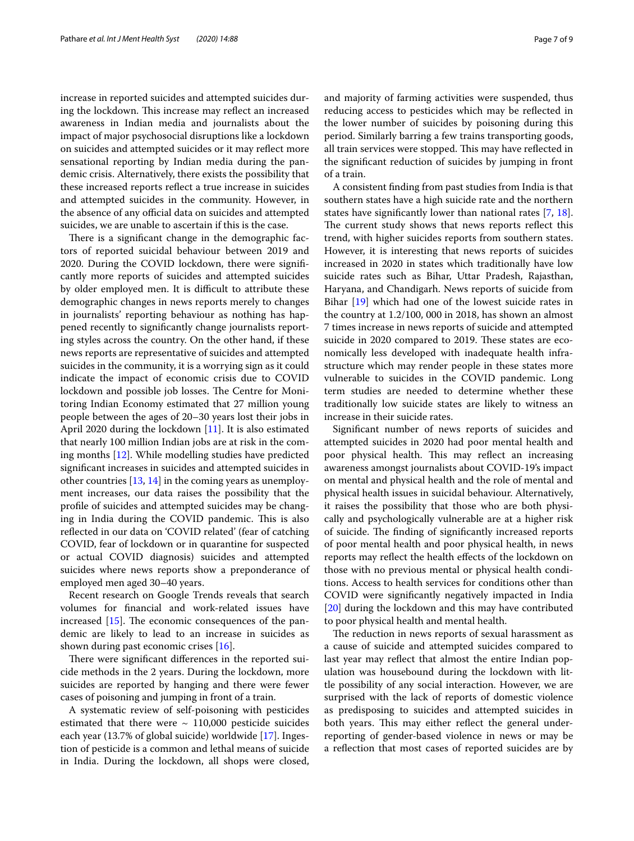increase in reported suicides and attempted suicides during the lockdown. This increase may reflect an increased awareness in Indian media and journalists about the impact of major psychosocial disruptions like a lockdown on suicides and attempted suicides or it may refect more sensational reporting by Indian media during the pandemic crisis. Alternatively, there exists the possibility that these increased reports refect a true increase in suicides and attempted suicides in the community. However, in the absence of any official data on suicides and attempted suicides, we are unable to ascertain if this is the case.

There is a significant change in the demographic factors of reported suicidal behaviour between 2019 and 2020. During the COVID lockdown, there were signifcantly more reports of suicides and attempted suicides by older employed men. It is difficult to attribute these demographic changes in news reports merely to changes in journalists' reporting behaviour as nothing has happened recently to signifcantly change journalists reporting styles across the country. On the other hand, if these news reports are representative of suicides and attempted suicides in the community, it is a worrying sign as it could indicate the impact of economic crisis due to COVID lockdown and possible job losses. The Centre for Monitoring Indian Economy estimated that 27 million young people between the ages of 20–30 years lost their jobs in April 2020 during the lockdown [\[11\]](#page-8-10). It is also estimated that nearly 100 million Indian jobs are at risk in the coming months [\[12](#page-8-11)]. While modelling studies have predicted signifcant increases in suicides and attempted suicides in other countries [\[13](#page-8-12), [14\]](#page-8-13) in the coming years as unemployment increases, our data raises the possibility that the profle of suicides and attempted suicides may be changing in India during the COVID pandemic. This is also refected in our data on 'COVID related' (fear of catching COVID, fear of lockdown or in quarantine for suspected or actual COVID diagnosis) suicides and attempted suicides where news reports show a preponderance of employed men aged 30–40 years.

Recent research on Google Trends reveals that search volumes for fnancial and work-related issues have increased  $[15]$  $[15]$ . The economic consequences of the pandemic are likely to lead to an increase in suicides as shown during past economic crises [[16](#page-8-15)].

There were significant differences in the reported suicide methods in the 2 years. During the lockdown, more suicides are reported by hanging and there were fewer cases of poisoning and jumping in front of a train.

A systematic review of self-poisoning with pesticides estimated that there were  $\sim$  110,000 pesticide suicides each year (13.7% of global suicide) worldwide [\[17](#page-8-16)]. Ingestion of pesticide is a common and lethal means of suicide in India. During the lockdown, all shops were closed,

and majority of farming activities were suspended, thus reducing access to pesticides which may be refected in the lower number of suicides by poisoning during this period. Similarly barring a few trains transporting goods, all train services were stopped. This may have reflected in the signifcant reduction of suicides by jumping in front of a train.

A consistent fnding from past studies from India is that southern states have a high suicide rate and the northern states have signifcantly lower than national rates [\[7](#page-8-6), [18](#page-8-17)]. The current study shows that news reports reflect this trend, with higher suicides reports from southern states. However, it is interesting that news reports of suicides increased in 2020 in states which traditionally have low suicide rates such as Bihar, Uttar Pradesh, Rajasthan, Haryana, and Chandigarh. News reports of suicide from Bihar [[19\]](#page-8-18) which had one of the lowest suicide rates in the country at 1.2/100, 000 in 2018, has shown an almost 7 times increase in news reports of suicide and attempted suicide in 2020 compared to 2019. These states are economically less developed with inadequate health infrastructure which may render people in these states more vulnerable to suicides in the COVID pandemic. Long term studies are needed to determine whether these traditionally low suicide states are likely to witness an increase in their suicide rates.

Signifcant number of news reports of suicides and attempted suicides in 2020 had poor mental health and poor physical health. This may reflect an increasing awareness amongst journalists about COVID-19's impact on mental and physical health and the role of mental and physical health issues in suicidal behaviour. Alternatively, it raises the possibility that those who are both physically and psychologically vulnerable are at a higher risk of suicide. The finding of significantly increased reports of poor mental health and poor physical health, in news reports may refect the health efects of the lockdown on those with no previous mental or physical health conditions. Access to health services for conditions other than COVID were signifcantly negatively impacted in India [[20\]](#page-8-19) during the lockdown and this may have contributed to poor physical health and mental health.

The reduction in news reports of sexual harassment as a cause of suicide and attempted suicides compared to last year may reflect that almost the entire Indian population was housebound during the lockdown with little possibility of any social interaction. However, we are surprised with the lack of reports of domestic violence as predisposing to suicides and attempted suicides in both years. This may either reflect the general underreporting of gender-based violence in news or may be a refection that most cases of reported suicides are by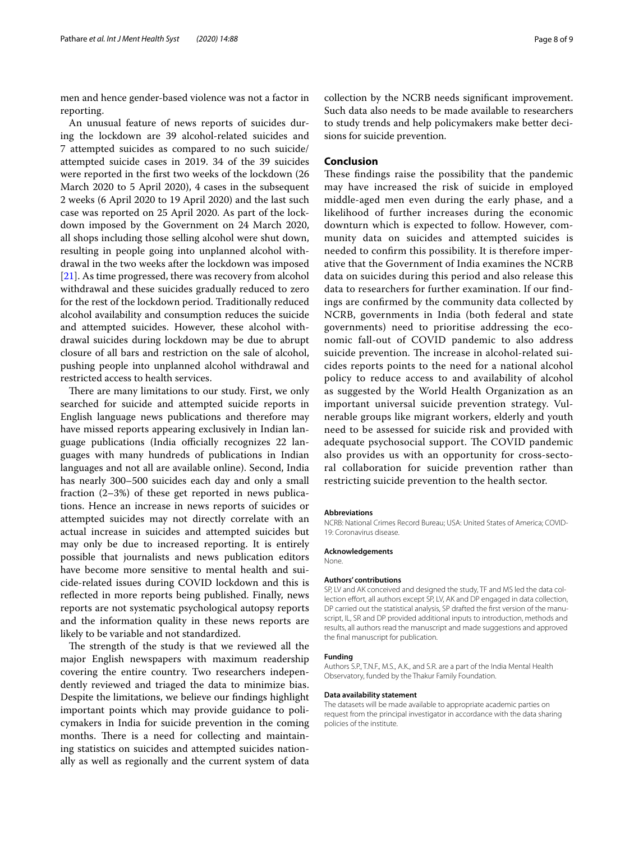men and hence gender-based violence was not a factor in reporting.

An unusual feature of news reports of suicides during the lockdown are 39 alcohol-related suicides and 7 attempted suicides as compared to no such suicide/ attempted suicide cases in 2019. 34 of the 39 suicides were reported in the frst two weeks of the lockdown (26 March 2020 to 5 April 2020), 4 cases in the subsequent 2 weeks (6 April 2020 to 19 April 2020) and the last such case was reported on 25 April 2020. As part of the lockdown imposed by the Government on 24 March 2020, all shops including those selling alcohol were shut down, resulting in people going into unplanned alcohol withdrawal in the two weeks after the lockdown was imposed [[21\]](#page-8-20). As time progressed, there was recovery from alcohol withdrawal and these suicides gradually reduced to zero for the rest of the lockdown period. Traditionally reduced alcohol availability and consumption reduces the suicide and attempted suicides. However, these alcohol withdrawal suicides during lockdown may be due to abrupt closure of all bars and restriction on the sale of alcohol, pushing people into unplanned alcohol withdrawal and restricted access to health services.

There are many limitations to our study. First, we only searched for suicide and attempted suicide reports in English language news publications and therefore may have missed reports appearing exclusively in Indian language publications (India officially recognizes 22 languages with many hundreds of publications in Indian languages and not all are available online). Second, India has nearly 300–500 suicides each day and only a small fraction (2–3%) of these get reported in news publications. Hence an increase in news reports of suicides or attempted suicides may not directly correlate with an actual increase in suicides and attempted suicides but may only be due to increased reporting. It is entirely possible that journalists and news publication editors have become more sensitive to mental health and suicide-related issues during COVID lockdown and this is reflected in more reports being published. Finally, news reports are not systematic psychological autopsy reports and the information quality in these news reports are likely to be variable and not standardized.

The strength of the study is that we reviewed all the major English newspapers with maximum readership covering the entire country. Two researchers independently reviewed and triaged the data to minimize bias. Despite the limitations, we believe our fndings highlight important points which may provide guidance to policymakers in India for suicide prevention in the coming months. There is a need for collecting and maintaining statistics on suicides and attempted suicides nationally as well as regionally and the current system of data collection by the NCRB needs signifcant improvement. Such data also needs to be made available to researchers to study trends and help policymakers make better decisions for suicide prevention.

#### **Conclusion**

These findings raise the possibility that the pandemic may have increased the risk of suicide in employed middle-aged men even during the early phase, and a likelihood of further increases during the economic downturn which is expected to follow. However, community data on suicides and attempted suicides is needed to confrm this possibility. It is therefore imperative that the Government of India examines the NCRB data on suicides during this period and also release this data to researchers for further examination. If our fndings are confrmed by the community data collected by NCRB, governments in India (both federal and state governments) need to prioritise addressing the economic fall-out of COVID pandemic to also address suicide prevention. The increase in alcohol-related suicides reports points to the need for a national alcohol policy to reduce access to and availability of alcohol as suggested by the World Health Organization as an important universal suicide prevention strategy. Vulnerable groups like migrant workers, elderly and youth need to be assessed for suicide risk and provided with adequate psychosocial support. The COVID pandemic also provides us with an opportunity for cross-sectoral collaboration for suicide prevention rather than restricting suicide prevention to the health sector.

#### **Abbreviations**

NCRB: National Crimes Record Bureau; USA: United States of America; COVID-19: Coronavirus disease.

#### **Acknowledgements**

None.

#### **Authors' contributions**

SP, LV and AK conceived and designed the study, TF and MS led the data collection effort, all authors except SP, LV, AK and DP engaged in data collection, DP carried out the statistical analysis, SP drafted the frst version of the manuscript, IL, SR and DP provided additional inputs to introduction, methods and results, all authors read the manuscript and made suggestions and approved the fnal manuscript for publication.

#### **Funding**

Authors S.P., T.N.F., M.S., A.K., and S.R. are a part of the India Mental Health Observatory, funded by the Thakur Family Foundation.

#### **Data availability statement**

The datasets will be made available to appropriate academic parties on request from the principal investigator in accordance with the data sharing policies of the institute.